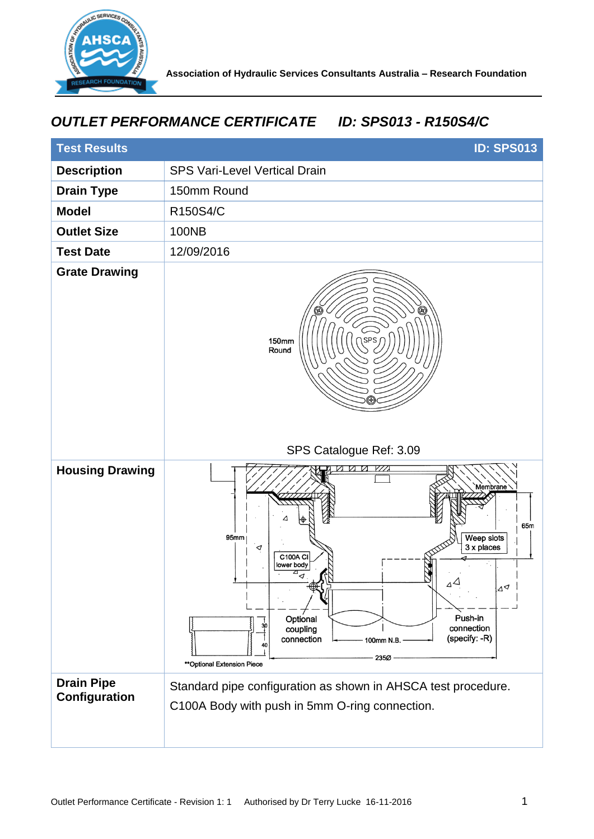

## *OUTLET PERFORMANCE CERTIFICATE ID: SPS013 - R150S4/C*